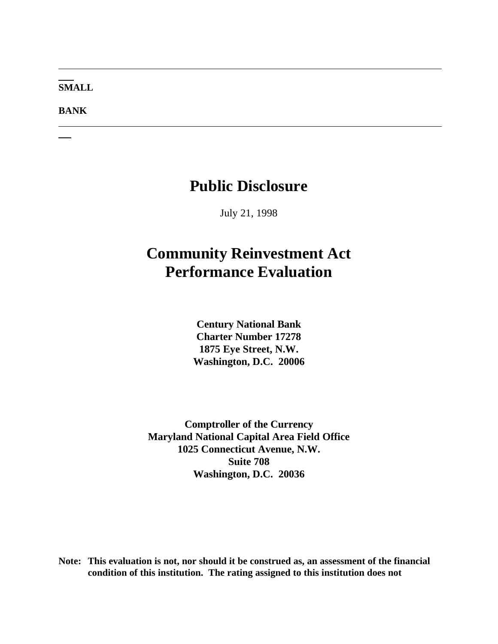#### **SMALL**

**BANK**

# **Public Disclosure**

July 21, 1998

# **Community Reinvestment Act Performance Evaluation**

**Century National Bank Charter Number 17278 1875 Eye Street, N.W. Washington, D.C. 20006**

**Comptroller of the Currency Maryland National Capital Area Field Office 1025 Connecticut Avenue, N.W. Suite 708 Washington, D.C. 20036**

**Note: This evaluation is not, nor should it be construed as, an assessment of the financial condition of this institution. The rating assigned to this institution does not**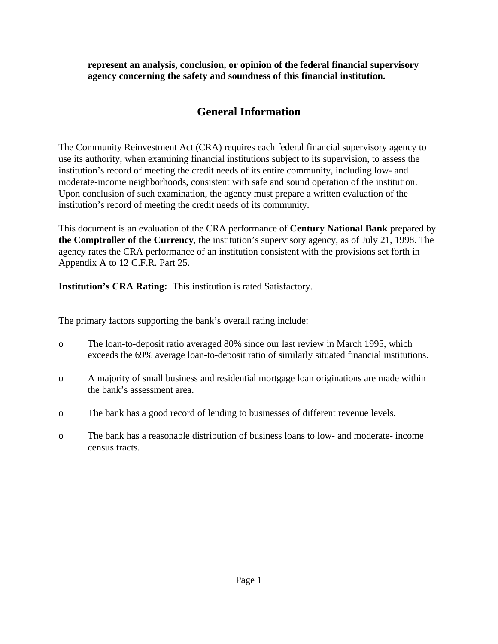**represent an analysis, conclusion, or opinion of the federal financial supervisory agency concerning the safety and soundness of this financial institution.**

# **General Information**

The Community Reinvestment Act (CRA) requires each federal financial supervisory agency to use its authority, when examining financial institutions subject to its supervision, to assess the institution's record of meeting the credit needs of its entire community, including low- and moderate-income neighborhoods, consistent with safe and sound operation of the institution. Upon conclusion of such examination, the agency must prepare a written evaluation of the institution's record of meeting the credit needs of its community.

This document is an evaluation of the CRA performance of **Century National Bank** prepared by **the Comptroller of the Currency**, the institution's supervisory agency, as of July 21, 1998. The agency rates the CRA performance of an institution consistent with the provisions set forth in Appendix A to 12 C.F.R. Part 25.

**Institution's CRA Rating:** This institution is rated Satisfactory.

The primary factors supporting the bank's overall rating include:

- o The loan-to-deposit ratio averaged 80% since our last review in March 1995, which exceeds the 69% average loan-to-deposit ratio of similarly situated financial institutions.
- o A majority of small business and residential mortgage loan originations are made within the bank's assessment area.
- o The bank has a good record of lending to businesses of different revenue levels.
- o The bank has a reasonable distribution of business loans to low- and moderate- income census tracts.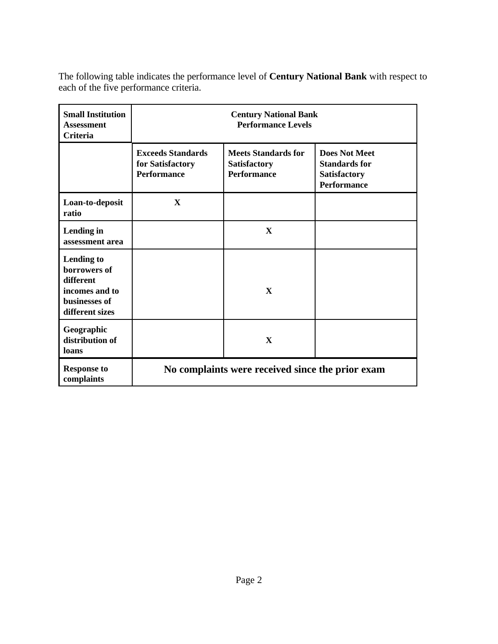The following table indicates the performance level of **Century National Bank** with respect to each of the five performance criteria.

| <b>Small Institution</b><br><b>Assessment</b><br>Criteria                                     | <b>Century National Bank</b><br><b>Performance Levels</b>          |                                                                         |                                                                                           |  |  |  |
|-----------------------------------------------------------------------------------------------|--------------------------------------------------------------------|-------------------------------------------------------------------------|-------------------------------------------------------------------------------------------|--|--|--|
|                                                                                               | <b>Exceeds Standards</b><br>for Satisfactory<br><b>Performance</b> | <b>Meets Standards for</b><br><b>Satisfactory</b><br><b>Performance</b> | <b>Does Not Meet</b><br><b>Standards for</b><br><b>Satisfactory</b><br><b>Performance</b> |  |  |  |
| Loan-to-deposit<br>ratio                                                                      | $\mathbf{X}$                                                       |                                                                         |                                                                                           |  |  |  |
| Lending in<br>assessment area                                                                 |                                                                    | $\mathbf{x}$                                                            |                                                                                           |  |  |  |
| Lending to<br>borrowers of<br>different<br>incomes and to<br>businesses of<br>different sizes |                                                                    | $\mathbf{X}$                                                            |                                                                                           |  |  |  |
| Geographic<br>distribution of<br>loans                                                        |                                                                    | $\mathbf{x}$                                                            |                                                                                           |  |  |  |
| <b>Response to</b><br>complaints                                                              | No complaints were received since the prior exam                   |                                                                         |                                                                                           |  |  |  |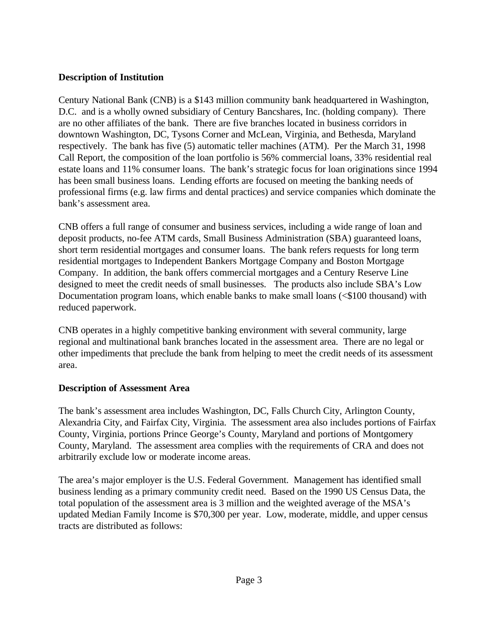## **Description of Institution**

Century National Bank (CNB) is a \$143 million community bank headquartered in Washington, D.C. and is a wholly owned subsidiary of Century Bancshares, Inc. (holding company). There are no other affiliates of the bank. There are five branches located in business corridors in downtown Washington, DC, Tysons Corner and McLean, Virginia, and Bethesda, Maryland respectively. The bank has five (5) automatic teller machines (ATM). Per the March 31, 1998 Call Report, the composition of the loan portfolio is 56% commercial loans, 33% residential real estate loans and 11% consumer loans. The bank's strategic focus for loan originations since 1994 has been small business loans. Lending efforts are focused on meeting the banking needs of professional firms (e.g. law firms and dental practices) and service companies which dominate the bank's assessment area.

CNB offers a full range of consumer and business services, including a wide range of loan and deposit products, no-fee ATM cards, Small Business Administration (SBA) guaranteed loans, short term residential mortgages and consumer loans. The bank refers requests for long term residential mortgages to Independent Bankers Mortgage Company and Boston Mortgage Company. In addition, the bank offers commercial mortgages and a Century Reserve Line designed to meet the credit needs of small businesses. The products also include SBA's Low Documentation program loans, which enable banks to make small loans (<\$100 thousand) with reduced paperwork.

CNB operates in a highly competitive banking environment with several community, large regional and multinational bank branches located in the assessment area. There are no legal or other impediments that preclude the bank from helping to meet the credit needs of its assessment area.

# **Description of Assessment Area**

The bank's assessment area includes Washington, DC, Falls Church City, Arlington County, Alexandria City, and Fairfax City, Virginia. The assessment area also includes portions of Fairfax County, Virginia, portions Prince George's County, Maryland and portions of Montgomery County, Maryland. The assessment area complies with the requirements of CRA and does not arbitrarily exclude low or moderate income areas.

The area's major employer is the U.S. Federal Government. Management has identified small business lending as a primary community credit need. Based on the 1990 US Census Data, the total population of the assessment area is 3 million and the weighted average of the MSA's updated Median Family Income is \$70,300 per year. Low, moderate, middle, and upper census tracts are distributed as follows: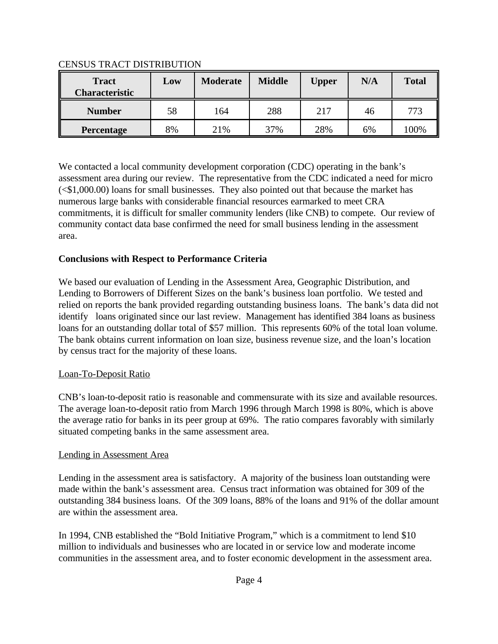| <b>Tract</b><br><b>Characteristic</b> | Low | <b>Moderate</b> | <b>Middle</b> | <b>Upper</b> | N/A | <b>Total</b> |
|---------------------------------------|-----|-----------------|---------------|--------------|-----|--------------|
| <b>Number</b>                         | 58  | 164             | 288           | 217          | 46  | 773          |
| Percentage                            | 8%  | 21%             | 37%           | 28%          | 6%  | 100%         |

### CENSUS TRACT DISTRIBUTION

We contacted a local community development corporation (CDC) operating in the bank's assessment area during our review. The representative from the CDC indicated a need for micro (<\$1,000.00) loans for small businesses. They also pointed out that because the market has numerous large banks with considerable financial resources earmarked to meet CRA commitments, it is difficult for smaller community lenders (like CNB) to compete. Our review of community contact data base confirmed the need for small business lending in the assessment area.

# **Conclusions with Respect to Performance Criteria**

We based our evaluation of Lending in the Assessment Area, Geographic Distribution, and Lending to Borrowers of Different Sizes on the bank's business loan portfolio. We tested and relied on reports the bank provided regarding outstanding business loans. The bank's data did not identify loans originated since our last review. Management has identified 384 loans as business loans for an outstanding dollar total of \$57 million. This represents 60% of the total loan volume. The bank obtains current information on loan size, business revenue size, and the loan's location by census tract for the majority of these loans.

# Loan-To-Deposit Ratio

CNB's loan-to-deposit ratio is reasonable and commensurate with its size and available resources. The average loan-to-deposit ratio from March 1996 through March 1998 is 80%, which is above the average ratio for banks in its peer group at 69%. The ratio compares favorably with similarly situated competing banks in the same assessment area.

# Lending in Assessment Area

Lending in the assessment area is satisfactory. A majority of the business loan outstanding were made within the bank's assessment area. Census tract information was obtained for 309 of the outstanding 384 business loans. Of the 309 loans, 88% of the loans and 91% of the dollar amount are within the assessment area.

In 1994, CNB established the "Bold Initiative Program," which is a commitment to lend \$10 million to individuals and businesses who are located in or service low and moderate income communities in the assessment area, and to foster economic development in the assessment area.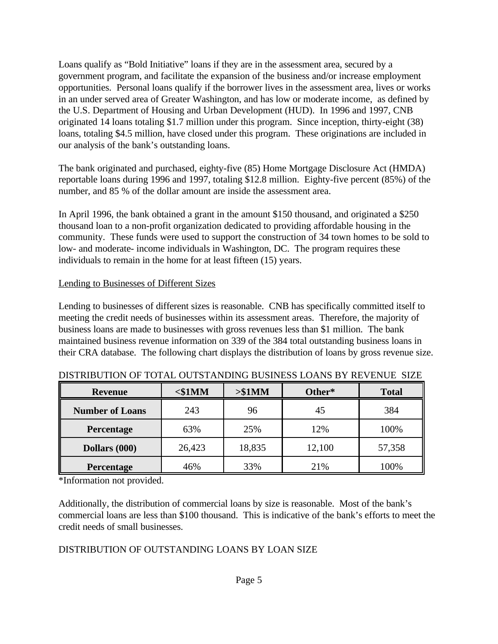Loans qualify as "Bold Initiative" loans if they are in the assessment area, secured by a government program, and facilitate the expansion of the business and/or increase employment opportunities. Personal loans qualify if the borrower lives in the assessment area, lives or works in an under served area of Greater Washington, and has low or moderate income, as defined by the U.S. Department of Housing and Urban Development (HUD). In 1996 and 1997, CNB originated 14 loans totaling \$1.7 million under this program. Since inception, thirty-eight (38) loans, totaling \$4.5 million, have closed under this program. These originations are included in our analysis of the bank's outstanding loans.

The bank originated and purchased, eighty-five (85) Home Mortgage Disclosure Act (HMDA) reportable loans during 1996 and 1997, totaling \$12.8 million. Eighty-five percent (85%) of the number, and 85 % of the dollar amount are inside the assessment area.

In April 1996, the bank obtained a grant in the amount \$150 thousand, and originated a \$250 thousand loan to a non-profit organization dedicated to providing affordable housing in the community. These funds were used to support the construction of 34 town homes to be sold to low- and moderate- income individuals in Washington, DC. The program requires these individuals to remain in the home for at least fifteen (15) years.

### Lending to Businesses of Different Sizes

Lending to businesses of different sizes is reasonable. CNB has specifically committed itself to meeting the credit needs of businesses within its assessment areas. Therefore, the majority of business loans are made to businesses with gross revenues less than \$1 million. The bank maintained business revenue information on 339 of the 384 total outstanding business loans in their CRA database. The following chart displays the distribution of loans by gross revenue size.

| <b>Revenue</b>         | $<$ \$1MM | > \$1MM | Other* | <b>Total</b> |
|------------------------|-----------|---------|--------|--------------|
| <b>Number of Loans</b> | 243       | 96      | 45     | 384          |
| Percentage             | 63%       | 25%     | 12%    | 100%         |
| Dollars (000)          | 26,423    | 18,835  | 12,100 | 57,358       |
| Percentage             | 46%       | 33%     | 21%    | 100%         |

|  | DISTRIBUTION OF TOTAL OUTSTANDING BUSINESS LOANS BY REVENUE SIZE |  |  |  |
|--|------------------------------------------------------------------|--|--|--|
|--|------------------------------------------------------------------|--|--|--|

\*Information not provided.

Additionally, the distribution of commercial loans by size is reasonable. Most of the bank's commercial loans are less than \$100 thousand. This is indicative of the bank's efforts to meet the credit needs of small businesses.

# DISTRIBUTION OF OUTSTANDING LOANS BY LOAN SIZE